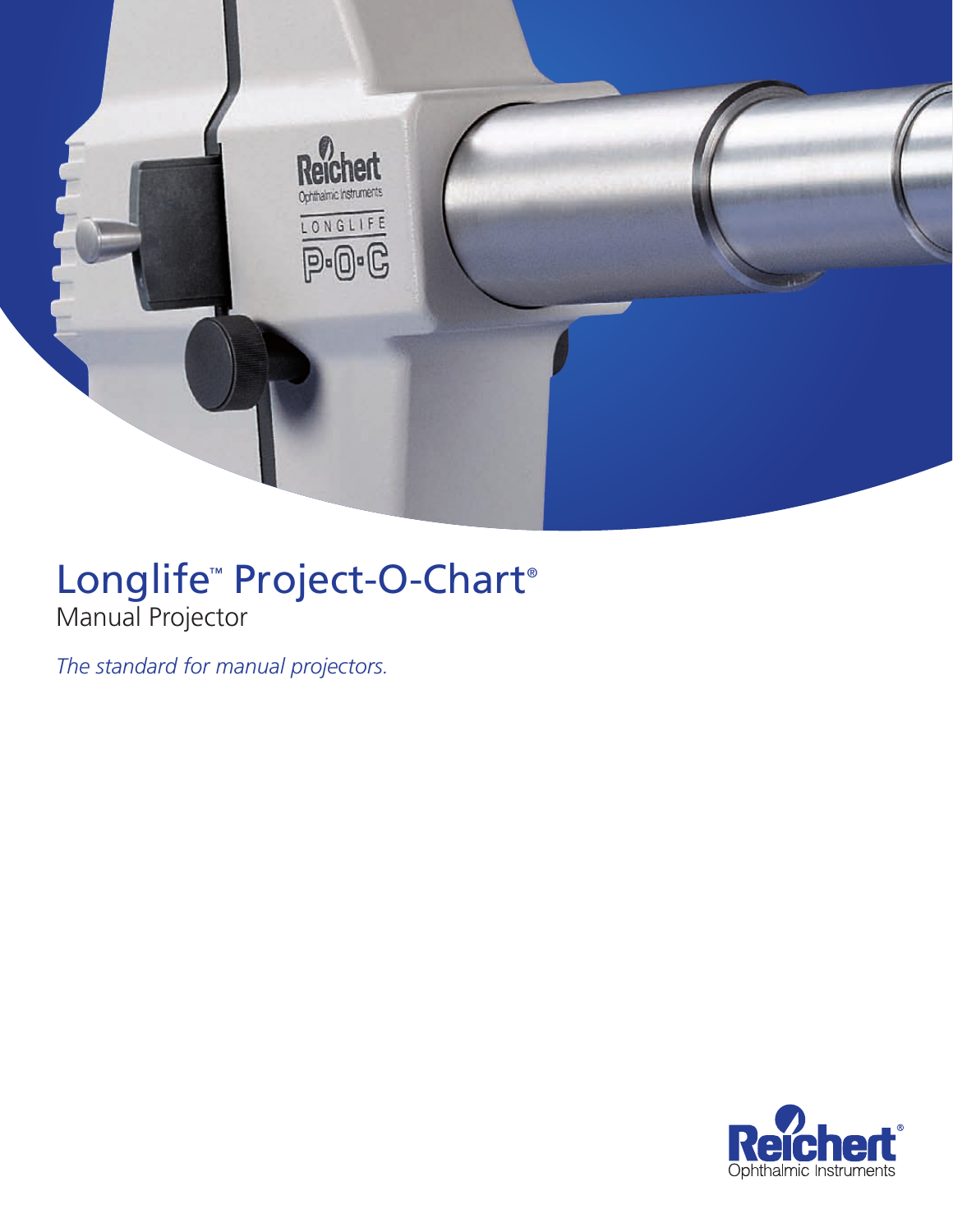

# Longlife<sup>™</sup> Project-O-Chart® Manual Projector

*The standard for manual projectors.*